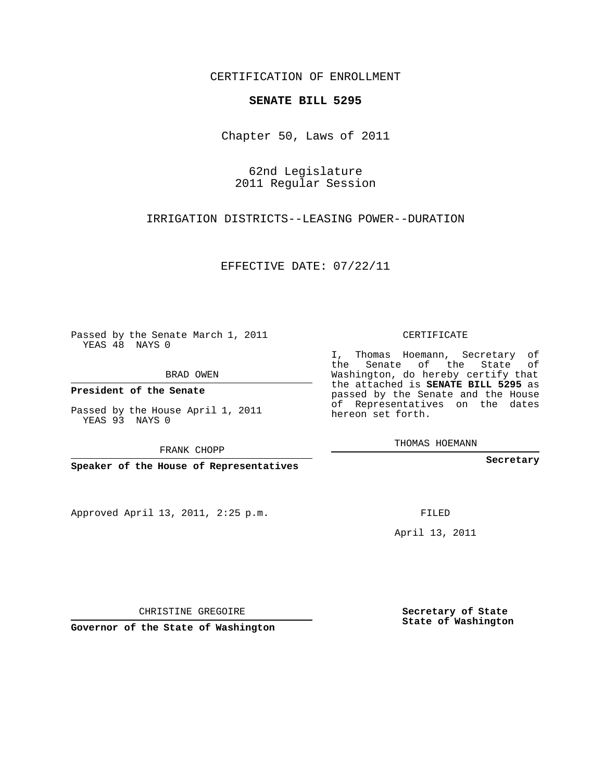CERTIFICATION OF ENROLLMENT

## **SENATE BILL 5295**

Chapter 50, Laws of 2011

62nd Legislature 2011 Regular Session

IRRIGATION DISTRICTS--LEASING POWER--DURATION

EFFECTIVE DATE: 07/22/11

Passed by the Senate March 1, 2011 YEAS 48 NAYS 0

BRAD OWEN

**President of the Senate**

Passed by the House April 1, 2011 YEAS 93 NAYS 0

FRANK CHOPP

**Speaker of the House of Representatives**

Approved April 13, 2011, 2:25 p.m.

CERTIFICATE

I, Thomas Hoemann, Secretary of the Senate of the State of Washington, do hereby certify that the attached is **SENATE BILL 5295** as passed by the Senate and the House of Representatives on the dates hereon set forth.

THOMAS HOEMANN

**Secretary**

FILED

April 13, 2011

CHRISTINE GREGOIRE

**Governor of the State of Washington**

**Secretary of State State of Washington**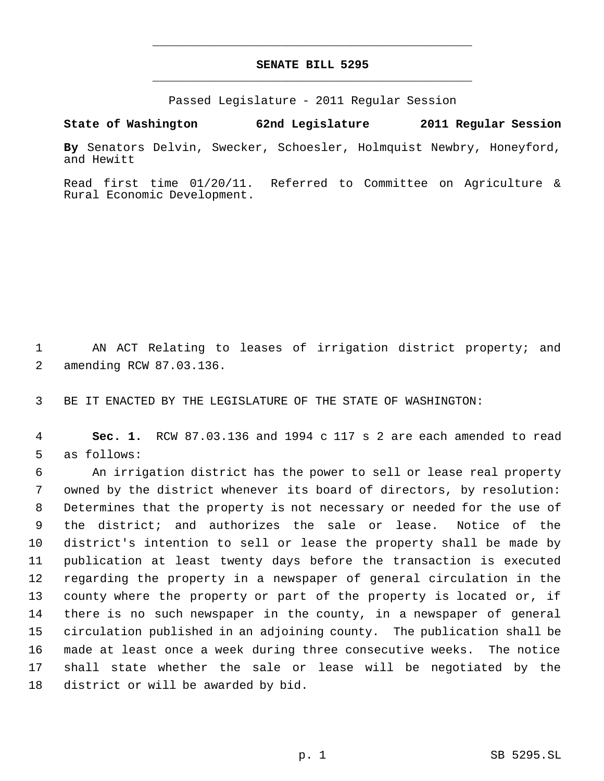## **SENATE BILL 5295** \_\_\_\_\_\_\_\_\_\_\_\_\_\_\_\_\_\_\_\_\_\_\_\_\_\_\_\_\_\_\_\_\_\_\_\_\_\_\_\_\_\_\_\_\_

\_\_\_\_\_\_\_\_\_\_\_\_\_\_\_\_\_\_\_\_\_\_\_\_\_\_\_\_\_\_\_\_\_\_\_\_\_\_\_\_\_\_\_\_\_

Passed Legislature - 2011 Regular Session

**State of Washington 62nd Legislature 2011 Regular Session**

**By** Senators Delvin, Swecker, Schoesler, Holmquist Newbry, Honeyford, and Hewitt

Read first time 01/20/11. Referred to Committee on Agriculture & Rural Economic Development.

 AN ACT Relating to leases of irrigation district property; and amending RCW 87.03.136.

BE IT ENACTED BY THE LEGISLATURE OF THE STATE OF WASHINGTON:

 **Sec. 1.** RCW 87.03.136 and 1994 c 117 s 2 are each amended to read as follows:

 An irrigation district has the power to sell or lease real property owned by the district whenever its board of directors, by resolution: Determines that the property is not necessary or needed for the use of the district; and authorizes the sale or lease. Notice of the district's intention to sell or lease the property shall be made by publication at least twenty days before the transaction is executed regarding the property in a newspaper of general circulation in the county where the property or part of the property is located or, if there is no such newspaper in the county, in a newspaper of general circulation published in an adjoining county. The publication shall be made at least once a week during three consecutive weeks. The notice shall state whether the sale or lease will be negotiated by the district or will be awarded by bid.